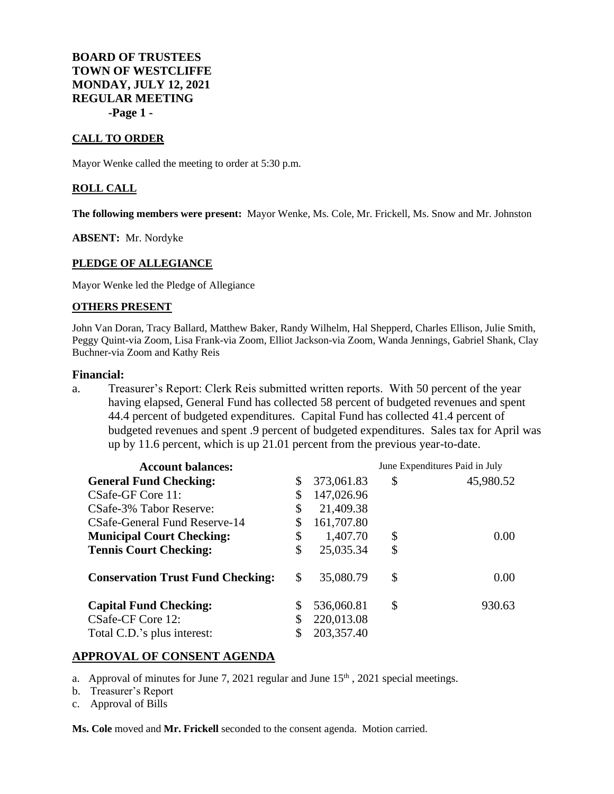**BOARD OF TRUSTEES TOWN OF WESTCLIFFE MONDAY, JULY 12, 2021 REGULAR MEETING -Page 1 -**

## **CALL TO ORDER**

Mayor Wenke called the meeting to order at 5:30 p.m.

### **ROLL CALL**

**The following members were present:** Mayor Wenke, Ms. Cole, Mr. Frickell, Ms. Snow and Mr. Johnston

**ABSENT:** Mr. Nordyke

#### **PLEDGE OF ALLEGIANCE**

Mayor Wenke led the Pledge of Allegiance

#### **OTHERS PRESENT**

John Van Doran, Tracy Ballard, Matthew Baker, Randy Wilhelm, Hal Shepperd, Charles Ellison, Julie Smith, Peggy Quint-via Zoom, Lisa Frank-via Zoom, Elliot Jackson-via Zoom, Wanda Jennings, Gabriel Shank, Clay Buchner-via Zoom and Kathy Reis

## **Financial:**

a. Treasurer's Report: Clerk Reis submitted written reports. With 50 percent of the year having elapsed, General Fund has collected 58 percent of budgeted revenues and spent 44.4 percent of budgeted expenditures. Capital Fund has collected 41.4 percent of budgeted revenues and spent .9 percent of budgeted expenditures. Sales tax for April was up by 11.6 percent, which is up 21.01 percent from the previous year-to-date.

| <b>Account balances:</b>                 |    |            | June Expenditures Paid in July |           |
|------------------------------------------|----|------------|--------------------------------|-----------|
| <b>General Fund Checking:</b>            | \$ | 373,061.83 | \$                             | 45,980.52 |
| CSafe-GF Core 11:                        | \$ | 147,026.96 |                                |           |
| CSafe-3% Tabor Reserve:                  | \$ | 21,409.38  |                                |           |
| CSafe-General Fund Reserve-14            |    | 161,707.80 |                                |           |
| <b>Municipal Court Checking:</b>         | \$ | 1,407.70   | \$                             | 0.00      |
| <b>Tennis Court Checking:</b>            | \$ | 25,035.34  | \$                             |           |
| <b>Conservation Trust Fund Checking:</b> | \$ | 35,080.79  | \$                             | 0.00      |
| <b>Capital Fund Checking:</b>            | S  | 536,060.81 | \$                             | 930.63    |
| CSafe-CF Core 12:                        |    | 220,013.08 |                                |           |
| Total C.D.'s plus interest:              |    | 203,357.40 |                                |           |

# **APPROVAL OF CONSENT AGENDA**

- a. Approval of minutes for June 7, 2021 regular and June  $15<sup>th</sup>$ , 2021 special meetings.
- b. Treasurer's Report
- c. Approval of Bills

**Ms. Cole** moved and **Mr. Frickell** seconded to the consent agenda. Motion carried.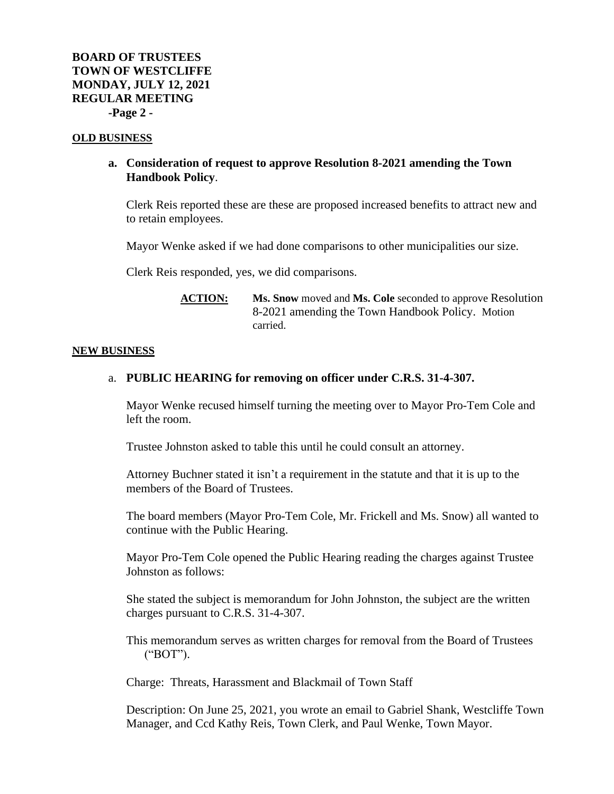### **OLD BUSINESS**

# **a. Consideration of request to approve Resolution 8-2021 amending the Town Handbook Policy**.

Clerk Reis reported these are these are proposed increased benefits to attract new and to retain employees.

Mayor Wenke asked if we had done comparisons to other municipalities our size.

Clerk Reis responded, yes, we did comparisons.

**ACTION: Ms. Snow** moved and **Ms. Cole** seconded to approve Resolution 8-2021 amending the Town Handbook Policy. Motion carried.

#### **NEW BUSINESS**

# a. **PUBLIC HEARING for removing on officer under C.R.S. 31-4-307.**

Mayor Wenke recused himself turning the meeting over to Mayor Pro-Tem Cole and left the room.

Trustee Johnston asked to table this until he could consult an attorney.

Attorney Buchner stated it isn't a requirement in the statute and that it is up to the members of the Board of Trustees.

The board members (Mayor Pro-Tem Cole, Mr. Frickell and Ms. Snow) all wanted to continue with the Public Hearing.

Mayor Pro-Tem Cole opened the Public Hearing reading the charges against Trustee Johnston as follows:

She stated the subject is memorandum for John Johnston, the subject are the written charges pursuant to C.R.S. 31-4-307.

This memorandum serves as written charges for removal from the Board of Trustees ("BOT").

Charge: Threats, Harassment and Blackmail of Town Staff

Description: On June 25, 2021, you wrote an email to Gabriel Shank, Westcliffe Town Manager, and Ccd Kathy Reis, Town Clerk, and Paul Wenke, Town Mayor.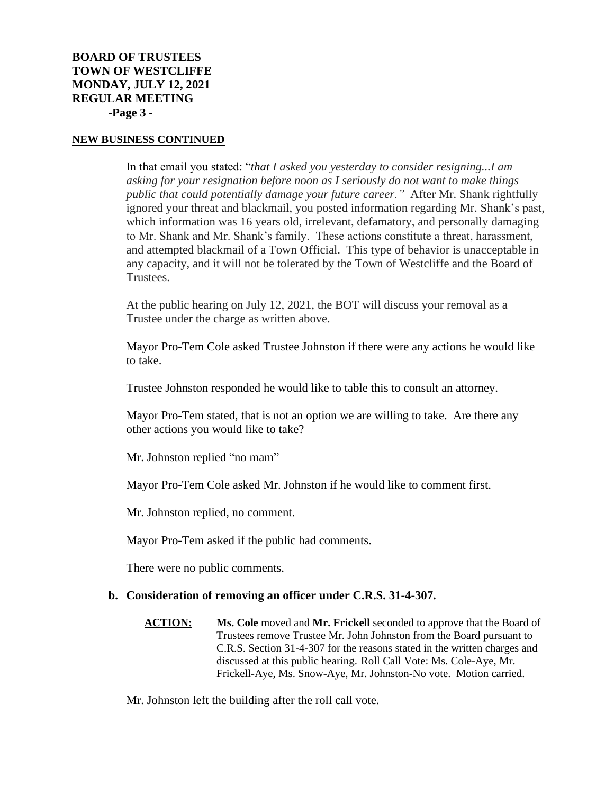In that email you stated: "*that I asked you yesterday to consider resigning...I am asking for your resignation before noon as I seriously do not want to make things public that could potentially damage your future career."* After Mr. Shank rightfully ignored your threat and blackmail, you posted information regarding Mr. Shank's past, which information was 16 years old, irrelevant, defamatory, and personally damaging to Mr. Shank and Mr. Shank's family. These actions constitute a threat, harassment, and attempted blackmail of a Town Official. This type of behavior is unacceptable in any capacity, and it will not be tolerated by the Town of Westcliffe and the Board of Trustees.

At the public hearing on July 12, 2021, the BOT will discuss your removal as a Trustee under the charge as written above.

Mayor Pro-Tem Cole asked Trustee Johnston if there were any actions he would like to take.

Trustee Johnston responded he would like to table this to consult an attorney.

Mayor Pro-Tem stated, that is not an option we are willing to take. Are there any other actions you would like to take?

Mr. Johnston replied "no mam"

Mayor Pro-Tem Cole asked Mr. Johnston if he would like to comment first.

Mr. Johnston replied, no comment.

Mayor Pro-Tem asked if the public had comments.

There were no public comments.

# **b. Consideration of removing an officer under C.R.S. 31-4-307.**

**ACTION: Ms. Cole** moved and **Mr. Frickell** seconded to approve that the Board of Trustees remove Trustee Mr. John Johnston from the Board pursuant to C.R.S. Section 31-4-307 for the reasons stated in the written charges and discussed at this public hearing. Roll Call Vote: Ms. Cole-Aye, Mr. Frickell-Aye, Ms. Snow-Aye, Mr. Johnston-No vote. Motion carried.

Mr. Johnston left the building after the roll call vote.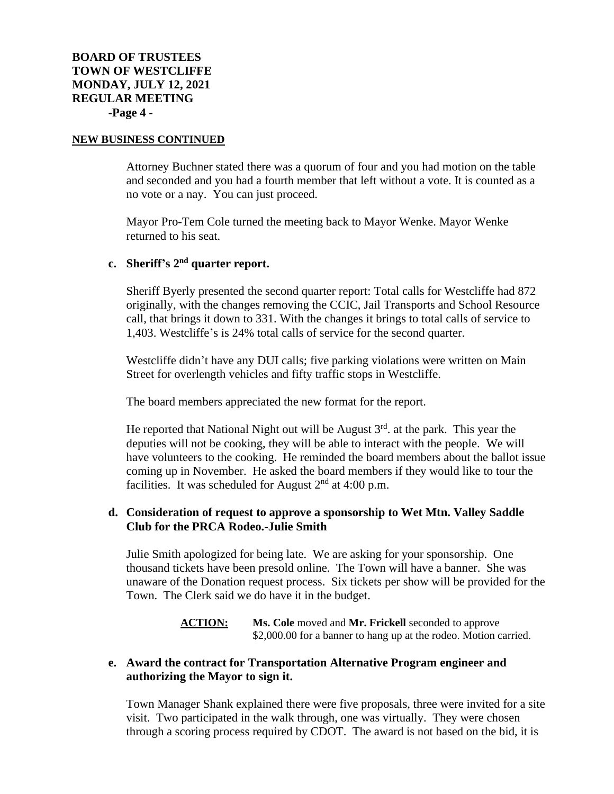Attorney Buchner stated there was a quorum of four and you had motion on the table and seconded and you had a fourth member that left without a vote. It is counted as a no vote or a nay. You can just proceed.

Mayor Pro-Tem Cole turned the meeting back to Mayor Wenke. Mayor Wenke returned to his seat.

# **c. Sheriff's 2nd quarter report.**

Sheriff Byerly presented the second quarter report: Total calls for Westcliffe had 872 originally, with the changes removing the CCIC, Jail Transports and School Resource call, that brings it down to 331. With the changes it brings to total calls of service to 1,403. Westcliffe's is 24% total calls of service for the second quarter.

Westcliffe didn't have any DUI calls; five parking violations were written on Main Street for overlength vehicles and fifty traffic stops in Westcliffe.

The board members appreciated the new format for the report.

He reported that National Night out will be August  $3<sup>rd</sup>$  at the park. This year the deputies will not be cooking, they will be able to interact with the people. We will have volunteers to the cooking. He reminded the board members about the ballot issue coming up in November. He asked the board members if they would like to tour the facilities. It was scheduled for August  $2<sup>nd</sup>$  at 4:00 p.m.

# **d. Consideration of request to approve a sponsorship to Wet Mtn. Valley Saddle Club for the PRCA Rodeo.-Julie Smith**

Julie Smith apologized for being late. We are asking for your sponsorship. One thousand tickets have been presold online. The Town will have a banner. She was unaware of the Donation request process. Six tickets per show will be provided for the Town. The Clerk said we do have it in the budget.

# **ACTION: Ms. Cole** moved and **Mr. Frickell** seconded to approve \$2,000.00 for a banner to hang up at the rodeo. Motion carried.

# **e. Award the contract for Transportation Alternative Program engineer and authorizing the Mayor to sign it.**

Town Manager Shank explained there were five proposals, three were invited for a site visit. Two participated in the walk through, one was virtually. They were chosen through a scoring process required by CDOT. The award is not based on the bid, it is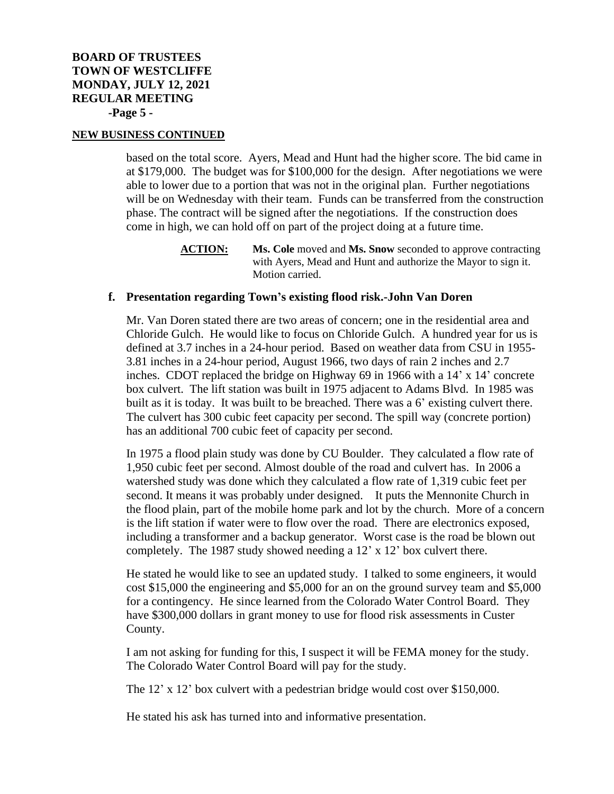based on the total score. Ayers, Mead and Hunt had the higher score. The bid came in at \$179,000. The budget was for \$100,000 for the design. After negotiations we were able to lower due to a portion that was not in the original plan. Further negotiations will be on Wednesday with their team. Funds can be transferred from the construction phase. The contract will be signed after the negotiations. If the construction does come in high, we can hold off on part of the project doing at a future time.

> **ACTION: Ms. Cole** moved and **Ms. Snow** seconded to approve contracting with Ayers, Mead and Hunt and authorize the Mayor to sign it. Motion carried.

# **f. Presentation regarding Town's existing flood risk.-John Van Doren**

Mr. Van Doren stated there are two areas of concern; one in the residential area and Chloride Gulch. He would like to focus on Chloride Gulch. A hundred year for us is defined at 3.7 inches in a 24-hour period. Based on weather data from CSU in 1955- 3.81 inches in a 24-hour period, August 1966, two days of rain 2 inches and 2.7 inches. CDOT replaced the bridge on Highway 69 in 1966 with a 14' x 14' concrete box culvert. The lift station was built in 1975 adjacent to Adams Blvd. In 1985 was built as it is today. It was built to be breached. There was a 6' existing culvert there. The culvert has 300 cubic feet capacity per second. The spill way (concrete portion) has an additional 700 cubic feet of capacity per second.

In 1975 a flood plain study was done by CU Boulder. They calculated a flow rate of 1,950 cubic feet per second. Almost double of the road and culvert has. In 2006 a watershed study was done which they calculated a flow rate of 1,319 cubic feet per second. It means it was probably under designed. It puts the Mennonite Church in the flood plain, part of the mobile home park and lot by the church. More of a concern is the lift station if water were to flow over the road. There are electronics exposed, including a transformer and a backup generator. Worst case is the road be blown out completely. The 1987 study showed needing a 12' x 12' box culvert there.

He stated he would like to see an updated study. I talked to some engineers, it would cost \$15,000 the engineering and \$5,000 for an on the ground survey team and \$5,000 for a contingency. He since learned from the Colorado Water Control Board. They have \$300,000 dollars in grant money to use for flood risk assessments in Custer County.

I am not asking for funding for this, I suspect it will be FEMA money for the study. The Colorado Water Control Board will pay for the study.

The 12' x 12' box culvert with a pedestrian bridge would cost over \$150,000.

He stated his ask has turned into and informative presentation.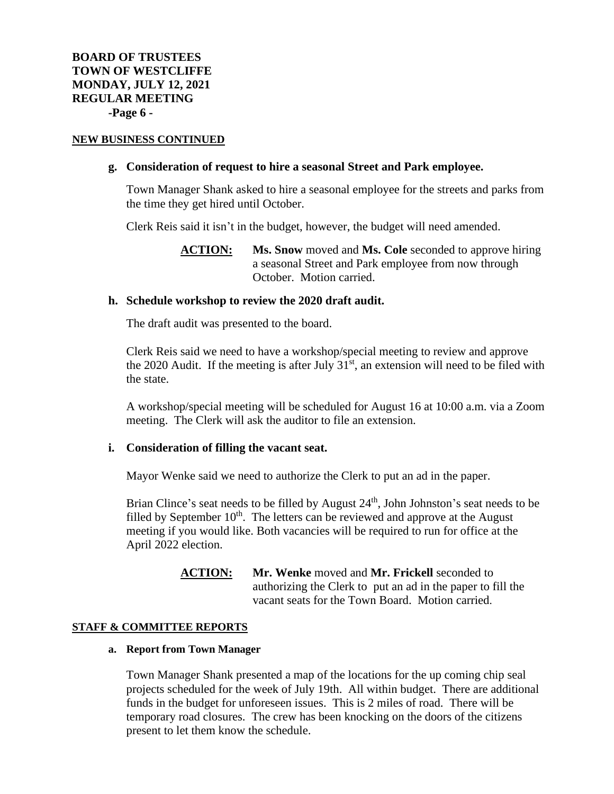# **g. Consideration of request to hire a seasonal Street and Park employee.**

Town Manager Shank asked to hire a seasonal employee for the streets and parks from the time they get hired until October.

Clerk Reis said it isn't in the budget, however, the budget will need amended.

**ACTION: Ms. Snow** moved and **Ms. Cole** seconded to approve hiring a seasonal Street and Park employee from now through October. Motion carried.

### **h. Schedule workshop to review the 2020 draft audit.**

The draft audit was presented to the board.

Clerk Reis said we need to have a workshop/special meeting to review and approve the 2020 Audit. If the meeting is after July  $31<sup>st</sup>$ , an extension will need to be filed with the state.

A workshop/special meeting will be scheduled for August 16 at 10:00 a.m. via a Zoom meeting. The Clerk will ask the auditor to file an extension.

### **i. Consideration of filling the vacant seat.**

Mayor Wenke said we need to authorize the Clerk to put an ad in the paper.

Brian Clince's seat needs to be filled by August  $24<sup>th</sup>$ , John Johnston's seat needs to be filled by September  $10<sup>th</sup>$ . The letters can be reviewed and approve at the August meeting if you would like. Both vacancies will be required to run for office at the April 2022 election.

# **ACTION: Mr. Wenke** moved and **Mr. Frickell** seconded to authorizing the Clerk to put an ad in the paper to fill the vacant seats for the Town Board. Motion carried.

#### **STAFF & COMMITTEE REPORTS**

#### **a. Report from Town Manager**

Town Manager Shank presented a map of the locations for the up coming chip seal projects scheduled for the week of July 19th. All within budget. There are additional funds in the budget for unforeseen issues. This is 2 miles of road. There will be temporary road closures. The crew has been knocking on the doors of the citizens present to let them know the schedule.